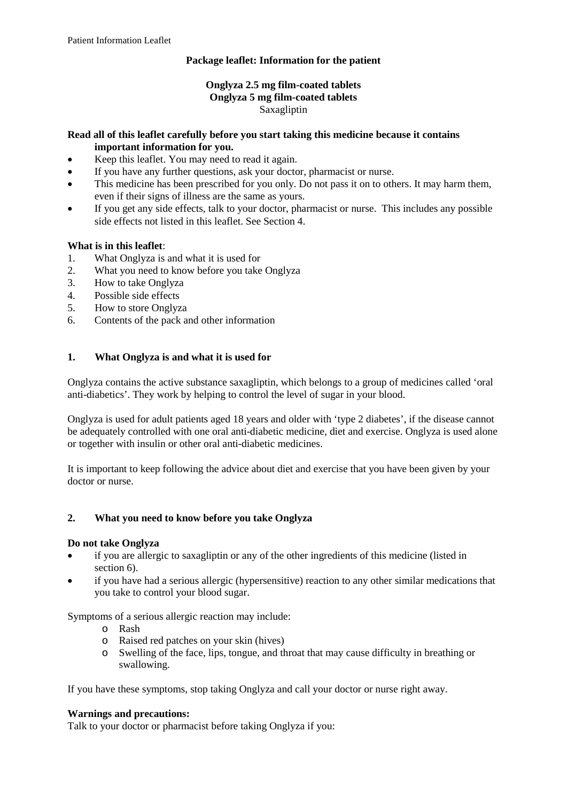# **Package leaflet: Information for the patient**

# **Onglyza 2.5 mg film-coated tablets Onglyza 5 mg film-coated tablets** Saxagliptin

#### **Read all of this leaflet carefully before you start taking this medicine because it contains important information for you.**

- Keep this leaflet. You may need to read it again.
- If you have any further questions, ask your doctor, pharmacist or nurse.
- This medicine has been prescribed for you only. Do not pass it on to others. It may harm them, even if their signs of illness are the same as yours.
- If you get any side effects, talk to your doctor, pharmacist or nurse. This includes any possible side effects not listed in this leaflet. See Section 4.

# **What is in this leaflet**:

- 1. What Onglyza is and what it is used for
- 2. What you need to know before you take Onglyza
- 3. How to take Onglyza
- 4. Possible side effects
- 5. How to store Onglyza
- 6. Contents of the pack and other information

# **1. What Onglyza is and what it is used for**

Onglyza contains the active substance saxagliptin, which belongs to a group of medicines called 'oral anti-diabetics'. They work by helping to control the level of sugar in your blood.

Onglyza is used for adult patients aged 18 years and older with 'type 2 diabetes', if the disease cannot be adequately controlled with one oral anti-diabetic medicine, diet and exercise. Onglyza is used alone or together with insulin or other oral anti-diabetic medicines.

It is important to keep following the advice about diet and exercise that you have been given by your doctor or nurse.

# **2. What you need to know before you take Onglyza**

# **Do not take Onglyza**

- if you are allergic to saxagliptin or any of the other ingredients of this medicine (listed in section 6).
- if you have had a serious allergic (hypersensitive) reaction to any other similar medications that you take to control your blood sugar.

Symptoms of a serious allergic reaction may include:

- o Rash
- o Raised red patches on your skin (hives)
- o Swelling of the face, lips, tongue, and throat that may cause difficulty in breathing or swallowing.

If you have these symptoms, stop taking Onglyza and call your doctor or nurse right away.

# **Warnings and precautions:**

Talk to your doctor or pharmacist before taking Onglyza if you: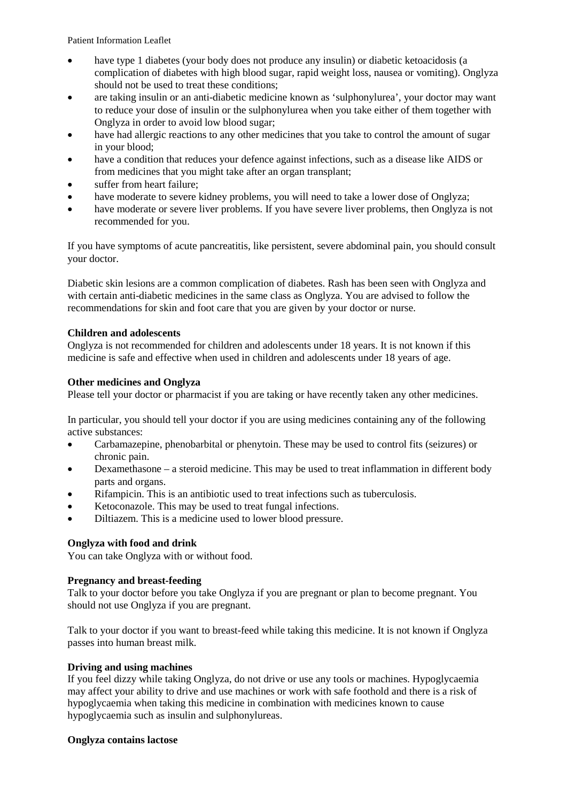- have type 1 diabetes (your body does not produce any insulin) or diabetic ketoacidosis (a complication of diabetes with high blood sugar, rapid weight loss, nausea or vomiting). Onglyza should not be used to treat these conditions;
- are taking insulin or an anti-diabetic medicine known as 'sulphonylurea', your doctor may want to reduce your dose of insulin or the sulphonylurea when you take either of them together with Onglyza in order to avoid low blood sugar;
- have had allergic reactions to any other medicines that you take to control the amount of sugar in your blood;
- have a condition that reduces your defence against infections, such as a disease like AIDS or from medicines that you might take after an organ transplant;
- suffer from heart failure:
- have moderate to severe kidney problems, you will need to take a lower dose of Onglyza;
- have moderate or severe liver problems. If you have severe liver problems, then Onglyza is not recommended for you.

If you have symptoms of acute pancreatitis, like persistent, severe abdominal pain, you should consult your doctor.

Diabetic skin lesions are a common complication of diabetes. Rash has been seen with Onglyza and with certain anti-diabetic medicines in the same class as Onglyza. You are advised to follow the recommendations for skin and foot care that you are given by your doctor or nurse.

# **Children and adolescents**

Onglyza is not recommended for children and adolescents under 18 years. It is not known if this medicine is safe and effective when used in children and adolescents under 18 years of age.

#### **Other medicines and Onglyza**

Please tell your doctor or pharmacist if you are taking or have recently taken any other medicines.

In particular, you should tell your doctor if you are using medicines containing any of the following active substances:

- Carbamazepine, phenobarbital or phenytoin. These may be used to control fits (seizures) or chronic pain.
- Dexamethasone a steroid medicine. This may be used to treat inflammation in different body parts and organs.
- Rifampicin. This is an antibiotic used to treat infections such as tuberculosis.
- Ketoconazole. This may be used to treat fungal infections.
- Diltiazem. This is a medicine used to lower blood pressure.

# **Onglyza with food and drink**

You can take Onglyza with or without food.

#### **Pregnancy and breast-feeding**

Talk to your doctor before you take Onglyza if you are pregnant or plan to become pregnant. You should not use Onglyza if you are pregnant.

Talk to your doctor if you want to breast-feed while taking this medicine. It is not known if Onglyza passes into human breast milk.

#### **Driving and using machines**

If you feel dizzy while taking Onglyza, do not drive or use any tools or machines. Hypoglycaemia may affect your ability to drive and use machines or work with safe foothold and there is a risk of hypoglycaemia when taking this medicine in combination with medicines known to cause hypoglycaemia such as insulin and sulphonylureas.

#### **Onglyza contains lactose**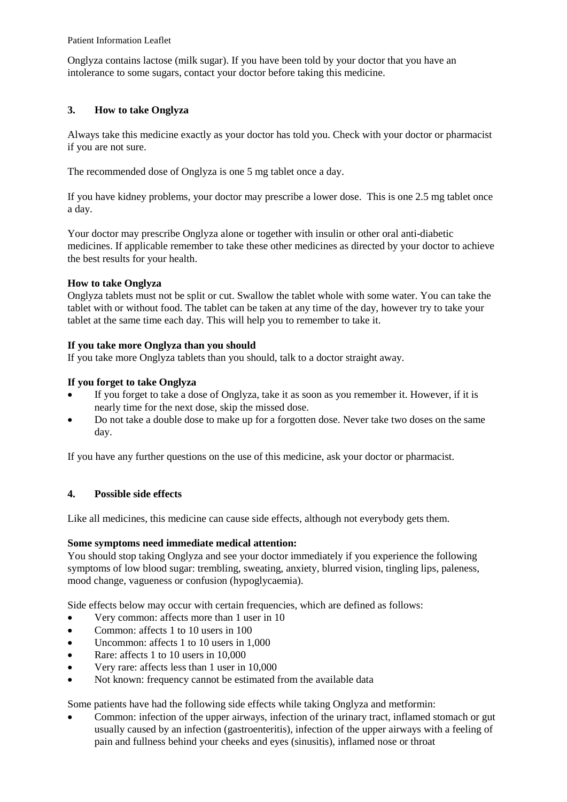Onglyza contains lactose (milk sugar). If you have been told by your doctor that you have an intolerance to some sugars, contact your doctor before taking this medicine.

# **3. How to take Onglyza**

Always take this medicine exactly as your doctor has told you. Check with your doctor or pharmacist if you are not sure.

The recommended dose of Onglyza is one 5 mg tablet once a day.

If you have kidney problems, your doctor may prescribe a lower dose. This is one 2.5 mg tablet once a day.

Your doctor may prescribe Onglyza alone or together with insulin or other oral anti-diabetic medicines. If applicable remember to take these other medicines as directed by your doctor to achieve the best results for your health.

# **How to take Onglyza**

Onglyza tablets must not be split or cut. Swallow the tablet whole with some water. You can take the tablet with or without food. The tablet can be taken at any time of the day, however try to take your tablet at the same time each day. This will help you to remember to take it.

# **If you take more Onglyza than you should**

If you take more Onglyza tablets than you should, talk to a doctor straight away.

#### **If you forget to take Onglyza**

- If you forget to take a dose of Onglyza, take it as soon as you remember it. However, if it is nearly time for the next dose, skip the missed dose.
- Do not take a double dose to make up for a forgotten dose. Never take two doses on the same day.

If you have any further questions on the use of this medicine, ask your doctor or pharmacist.

# **4. Possible side effects**

Like all medicines, this medicine can cause side effects, although not everybody gets them.

# **Some symptoms need immediate medical attention:**

You should stop taking Onglyza and see your doctor immediately if you experience the following symptoms of low blood sugar: trembling, sweating, anxiety, blurred vision, tingling lips, paleness, mood change, vagueness or confusion (hypoglycaemia).

Side effects below may occur with certain frequencies, which are defined as follows:

- Very common: affects more than 1 user in 10
- Common: affects 1 to 10 users in 100
- Uncommon: affects 1 to 10 users in 1,000
- Rare: affects 1 to 10 users in 10,000
- Very rare: affects less than 1 user in 10,000
- Not known: frequency cannot be estimated from the available data

Some patients have had the following side effects while taking Onglyza and metformin:

• Common: infection of the upper airways, infection of the urinary tract, inflamed stomach or gut usually caused by an infection (gastroenteritis), infection of the upper airways with a feeling of pain and fullness behind your cheeks and eyes (sinusitis), inflamed nose or throat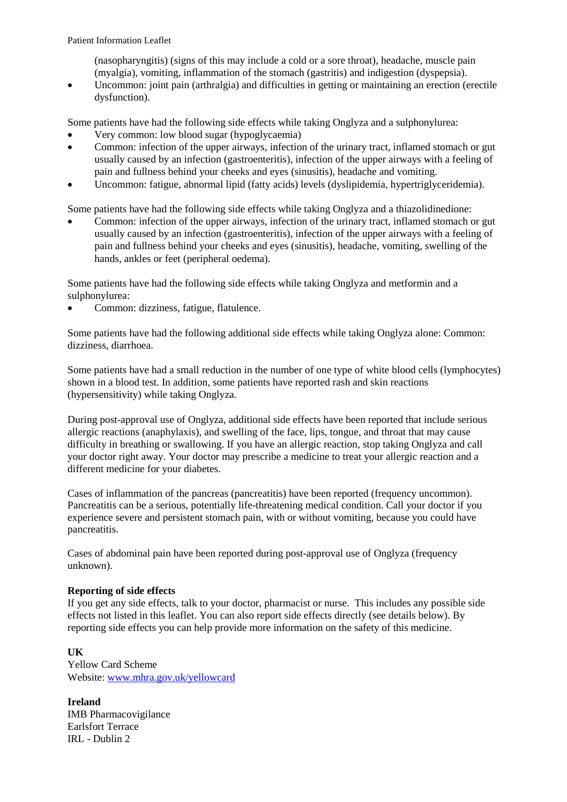(nasopharyngitis) (signs of this may include a cold or a sore throat), headache, muscle pain (myalgia), vomiting, inflammation of the stomach (gastritis) and indigestion (dyspepsia).

• Uncommon: joint pain (arthralgia) and difficulties in getting or maintaining an erection (erectile dysfunction).

Some patients have had the following side effects while taking Onglyza and a sulphonylurea:

- Very common: low blood sugar (hypoglycaemia)
- Common: infection of the upper airways, infection of the urinary tract, inflamed stomach or gut usually caused by an infection (gastroenteritis), infection of the upper airways with a feeling of pain and fullness behind your cheeks and eyes (sinusitis), headache and vomiting.
- Uncommon: fatigue, abnormal lipid (fatty acids) levels (dyslipidemia, hypertriglyceridemia).

Some patients have had the following side effects while taking Onglyza and a thiazolidinedione:

• Common: infection of the upper airways, infection of the urinary tract, inflamed stomach or gut usually caused by an infection (gastroenteritis), infection of the upper airways with a feeling of pain and fullness behind your cheeks and eyes (sinusitis), headache, vomiting, swelling of the hands, ankles or feet (peripheral oedema).

Some patients have had the following side effects while taking Onglyza and metformin and a sulphonylurea:

• Common: dizziness, fatigue, flatulence.

Some patients have had the following additional side effects while taking Onglyza alone: Common: dizziness, diarrhoea.

Some patients have had a small reduction in the number of one type of white blood cells (lymphocytes) shown in a blood test. In addition, some patients have reported rash and skin reactions (hypersensitivity) while taking Onglyza.

During post-approval use of Onglyza, additional side effects have been reported that include serious allergic reactions (anaphylaxis), and swelling of the face, lips, tongue, and throat that may cause difficulty in breathing or swallowing. If you have an allergic reaction, stop taking Onglyza and call your doctor right away. Your doctor may prescribe a medicine to treat your allergic reaction and a different medicine for your diabetes.

Cases of inflammation of the pancreas (pancreatitis) have been reported (frequency uncommon). Pancreatitis can be a serious, potentially life-threatening medical condition. Call your doctor if you experience severe and persistent stomach pain, with or without vomiting, because you could have pancreatitis.

Cases of abdominal pain have been reported during post-approval use of Onglyza (frequency unknown).

# **Reporting of side effects**

If you get any side effects, talk to your doctor, pharmacist or nurse. This includes any possible side effects not listed in this leaflet. You can also report side effects directly (see details below). By reporting side effects you can help provide more information on the safety of this medicine.

# **UK**

Yellow Card Scheme Website[: www.mhra.gov.uk/yellowcard](http://www.mhra.gov.uk/yellowcard)

**Ireland** IMB Pharmacovigilance Earlsfort Terrace IRL - Dublin 2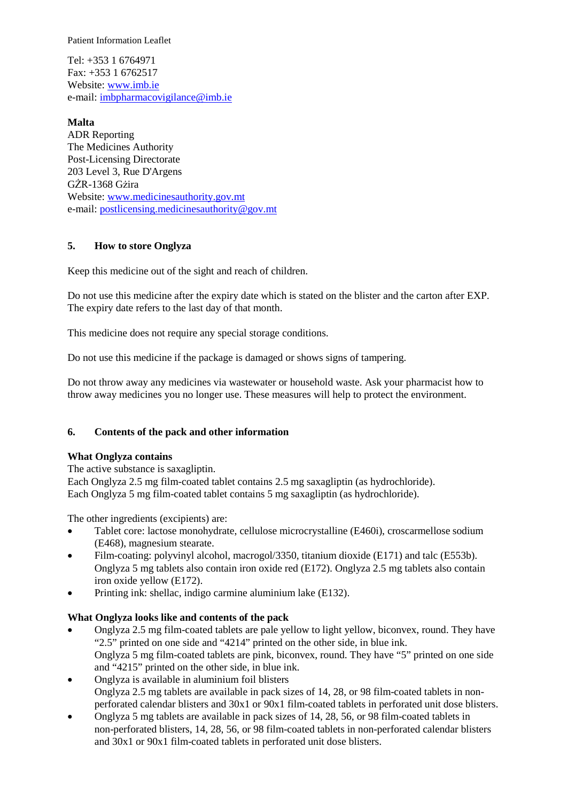Tel: +353 1 6764971  $Fax \cdot +35316762517$ Website[: www.imb.ie](http://www.imb.ie/) e-mail: [imbpharmacovigilance@imb.ie](mailto:imbpharmacovigilance@imb.ie)

**Malta** ADR Reporting The Medicines Authority Post-Licensing Directorate 203 Level 3, Rue D'Argens GŻR-1368 Gżira Website[: www.medicinesauthority.gov.mt](http://www.medicinesauthority.gov.mt/) e-mail: [postlicensing.medicinesauthority@gov.mt](mailto:postlicensing.medicinesauthority@gov.mt)

# **5. How to store Onglyza**

Keep this medicine out of the sight and reach of children.

Do not use this medicine after the expiry date which is stated on the blister and the carton after EXP. The expiry date refers to the last day of that month.

This medicine does not require any special storage conditions.

Do not use this medicine if the package is damaged or shows signs of tampering.

Do not throw away any medicines via wastewater or household waste. Ask your pharmacist how to throw away medicines you no longer use. These measures will help to protect the environment.

#### **6. Contents of the pack and other information**

#### **What Onglyza contains**

The active substance is saxagliptin. Each Onglyza 2.5 mg film-coated tablet contains 2.5 mg saxagliptin (as hydrochloride). Each Onglyza 5 mg film-coated tablet contains 5 mg saxagliptin (as hydrochloride).

The other ingredients (excipients) are:

- Tablet core: lactose monohydrate, cellulose microcrystalline (E460i), croscarmellose sodium (E468), magnesium stearate.
- Film-coating: polyvinyl alcohol, macrogol/3350, titanium dioxide (E171) and talc (E553b). Onglyza 5 mg tablets also contain iron oxide red (E172). Onglyza 2.5 mg tablets also contain iron oxide yellow (E172).
- Printing ink: shellac, indigo carmine aluminium lake (E132).

#### **What Onglyza looks like and contents of the pack**

- Onglyza 2.5 mg film-coated tablets are pale yellow to light yellow, biconvex, round. They have "2.5" printed on one side and "4214" printed on the other side, in blue ink. Onglyza 5 mg film-coated tablets are pink, biconvex, round. They have "5" printed on one side and "4215" printed on the other side, in blue ink.
- Onglyza is available in aluminium foil blisters Onglyza 2.5 mg tablets are available in pack sizes of 14, 28, or 98 film-coated tablets in nonperforated calendar blisters and 30x1 or 90x1 film-coated tablets in perforated unit dose blisters.
- Onglyza 5 mg tablets are available in pack sizes of 14, 28, 56, or 98 film-coated tablets in non-perforated blisters, 14, 28, 56, or 98 film-coated tablets in non-perforated calendar blisters and 30x1 or 90x1 film-coated tablets in perforated unit dose blisters.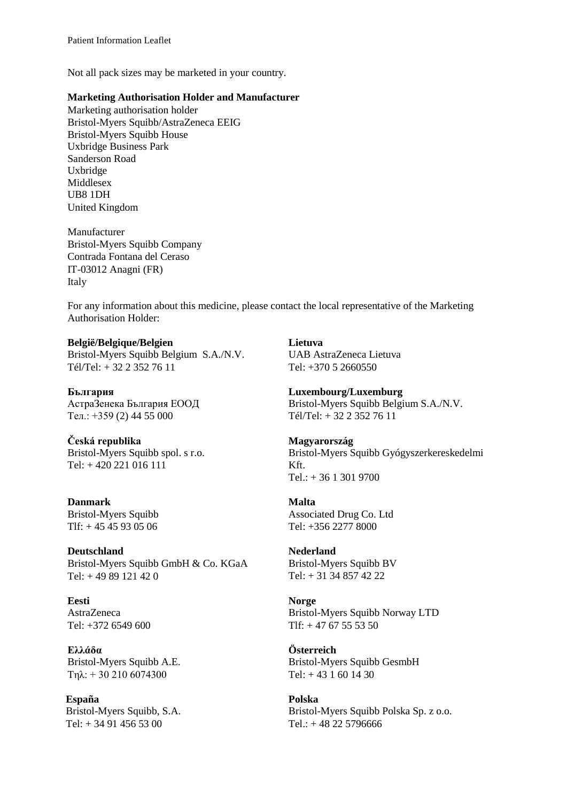Not all pack sizes may be marketed in your country.

#### **Marketing Authorisation Holder and Manufacturer**

Marketing authorisation holder Bristol-Myers Squibb/AstraZeneca EEIG Bristol-Myers Squibb House Uxbridge Business Park Sanderson Road Uxbridge Middlesex UB8 1DH United Kingdom

Manufacturer Bristol-Myers Squibb Company Contrada Fontana del Ceraso IT-03012 Anagni (FR) Italy

For any information about this medicine, please contact the local representative of the Marketing Authorisation Holder:

#### **België/Belgique/Belgien**

Bristol-Myers Squibb Belgium S.A./N.V. Tél/Tel: + 32 2 352 76 11

**България** АстраЗенека България ЕООД Teл.: +359 (2) 44 55 000

**Česká republika** Bristol-Myers Squibb spol. s r.o. Tel: + 420 221 016 111

**Danmark** Bristol-Myers Squibb Tlf: + 45 45 93 05 06

**Deutschland** Bristol-Myers Squibb GmbH & Co. KGaA Tel: + 49 89 121 42 0

**Eesti** AstraZeneca Tel: +372 6549 600

**Ελλάδα** Bristol-Myers Squibb A.E. Τηλ: + 30 210 6074300

**España** Bristol-Myers Squibb, S.A. Tel: + 34 91 456 53 00

**Lietuva** UAB AstraZeneca Lietuva Tel: +370 5 2660550

**Luxembourg/Luxemburg** Bristol-Myers Squibb Belgium S.A./N.V. Tél/Tel: + 32 2 352 76 11

**Magyarország** Bristol-Myers Squibb Gyógyszerkereskedelmi Kft. Tel.: + 36 1 301 9700

**Malta** Associated Drug Co. Ltd Tel: +356 2277 8000

**Nederland** Bristol-Myers Squibb BV Tel: + 31 34 857 42 22

**Norge** Bristol-Myers Squibb Norway LTD  $Tlf: +4767555350$ 

**Österreich** Bristol-Myers Squibb GesmbH  $Tel + 431601430$ 

**Polska** Bristol-Myers Squibb Polska Sp. z o.o. Tel.: + 48 22 5796666